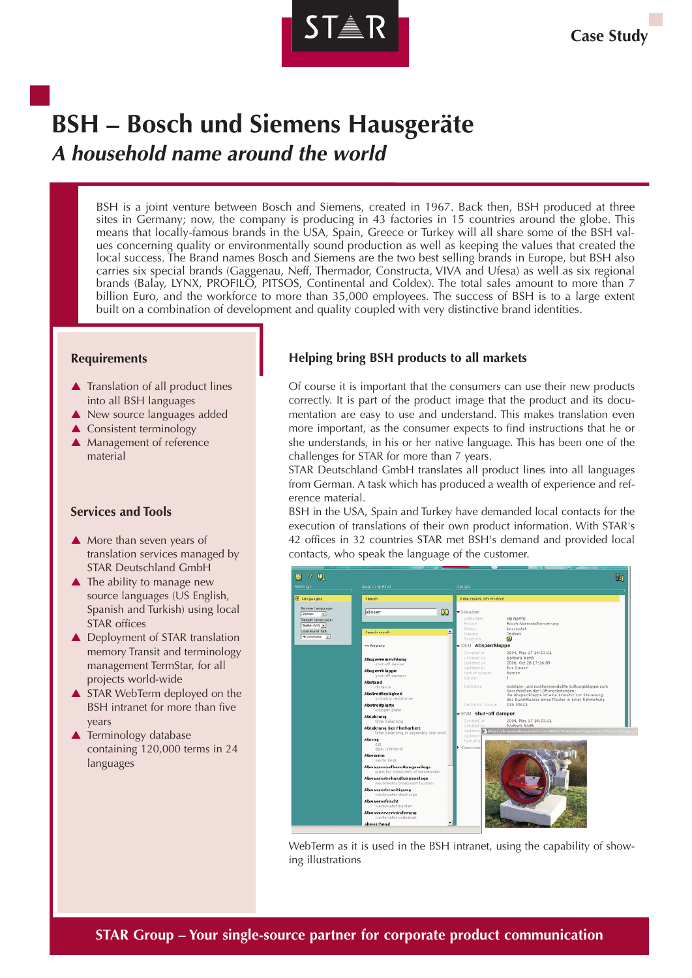

# **BSH – Bosch und Siemens Hausgeräte A household name around the world**

BSH is a joint venture between Bosch and Siemens, created in 1967. Back then, BSH produced at three sites in Germany; now, the company is producing in 43 factories in 15 countries around the globe. This means that locally-famous brands in the USA, Spain, Greece or Turkey will all share some of the BSH values concerning quality or environmentally sound production as well as keeping the values that created the local success. The Brand names Bosch and Siemens are the two best selling brands in Europe, but BSH also carries six special brands (Gaggenau, Neff, Thermador, Constructa, VIVA and Ufesa) as well as six regional brands (Balay, LYNX, PROFILO, PITSOS, Continental and Coldex). The total sales amount to more than 7 billion Euro, and the workforce to more than 35,000 employees. The success of BSH is to a large extent built on a combination of development and quality coupled with very distinctive brand identities.

#### **Requirements**

- ▲ Translation of all product lines into all BSH languages
- ▲ New source languages added
- ▲ Consistent terminology
- ▲ Management of reference material

#### **Services and Tools**

- A More than seven years of translation services managed by STAR Deutschland GmbH
- ▲ The ability to manage new source languages (US English, Spanish and Turkish) using local STAR offices
- ▲ Deployment of STAR translation memory Transit and terminology management TermStar, for all projects world-wide
- ▲ STAR WebTerm deployed on the BSH intranet for more than five years
- ▲ Terminology database containing 120,000 terms in 24 languages

# **Helping bring BSH products to all markets**

Of course it is important that the consumers can use their new products correctly. It is part of the product image that the product and its documentation are easy to use and understand. This makes translation even more important, as the consumer expects to find instructions that he or she understands, in his or her native language. This has been one of the challenges for STAR for more than 7 years.

STAR Deutschland GmbH translates all product lines into all languages from German. A task which has produced a wealth of experience and reference material.

BSH in the USA, Spain and Turkey have demanded local contacts for the execution of translations of their own product information. With STAR's 42 offices in 32 countries STAR met BSH's demand and provided local contacts, who speak the language of the customer.



WebTerm as it is used in the BSH intranet, using the capability of showing illustrations